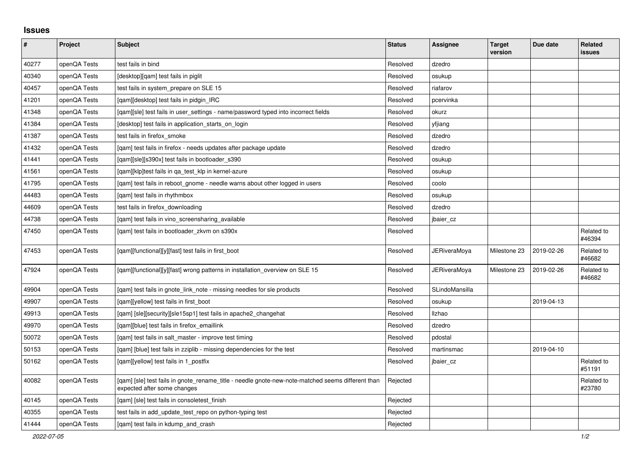## **Issues**

| $\pmb{\#}$ | Project      | <b>Subject</b>                                                                                                                   | <b>Status</b> | <b>Assignee</b>     | <b>Target</b><br>version | Due date   | <b>Related</b><br><b>issues</b> |
|------------|--------------|----------------------------------------------------------------------------------------------------------------------------------|---------------|---------------------|--------------------------|------------|---------------------------------|
| 40277      | openQA Tests | test fails in bind                                                                                                               | Resolved      | dzedro              |                          |            |                                 |
| 40340      | openQA Tests | [desktop][gam] test fails in piglit                                                                                              | Resolved      | osukup              |                          |            |                                 |
| 40457      | openQA Tests | test fails in system prepare on SLE 15                                                                                           | Resolved      | riafarov            |                          |            |                                 |
| 41201      | openQA Tests | [qam][desktop] test fails in pidgin_IRC                                                                                          | Resolved      | pcervinka           |                          |            |                                 |
| 41348      | openQA Tests | [qam][sle] test fails in user_settings - name/password typed into incorrect fields                                               | Resolved      | okurz               |                          |            |                                 |
| 41384      | openQA Tests | [desktop] test fails in application_starts_on_login                                                                              | Resolved      | yfjiang             |                          |            |                                 |
| 41387      | openQA Tests | test fails in firefox smoke                                                                                                      | Resolved      | dzedro              |                          |            |                                 |
| 41432      | openQA Tests | [gam] test fails in firefox - needs updates after package update                                                                 | Resolved      | dzedro              |                          |            |                                 |
| 41441      | openQA Tests | [gam][sle][s390x] test fails in bootloader s390                                                                                  | Resolved      | osukup              |                          |            |                                 |
| 41561      | openQA Tests | [qam][klp]test fails in qa_test_klp in kernel-azure                                                                              | Resolved      | osukup              |                          |            |                                 |
| 41795      | openQA Tests | [qam] test fails in reboot_gnome - needle warns about other logged in users                                                      | Resolved      | coolo               |                          |            |                                 |
| 44483      | openQA Tests | [qam] test fails in rhythmbox                                                                                                    | Resolved      | osukup              |                          |            |                                 |
| 44609      | openQA Tests | test fails in firefox downloading                                                                                                | Resolved      | dzedro              |                          |            |                                 |
| 44738      | openQA Tests | [gam] test fails in vino screensharing available                                                                                 | Resolved      | jbaier_cz           |                          |            |                                 |
| 47450      | openQA Tests | [gam] test fails in bootloader zkvm on s390x                                                                                     | Resolved      |                     |                          |            | Related to<br>#46394            |
| 47453      | openQA Tests | [qam][functional][y][fast] test fails in first_boot                                                                              | Resolved      | <b>JERiveraMoya</b> | Milestone 23             | 2019-02-26 | Related to<br>#46682            |
| 47924      | openQA Tests | [gam][functional][y][fast] wrong patterns in installation overview on SLE 15                                                     | Resolved      | JERiveraMoya        | Milestone 23             | 2019-02-26 | Related to<br>#46682            |
| 49904      | openQA Tests | [qam] test fails in gnote_link_note - missing needles for sle products                                                           | Resolved      | SLindoMansilla      |                          |            |                                 |
| 49907      | openQA Tests | [gam][yellow] test fails in first boot                                                                                           | Resolved      | osukup              |                          | 2019-04-13 |                                 |
| 49913      | openQA Tests | [qam] [sle][security][sle15sp1] test fails in apache2_changehat                                                                  | Resolved      | <b>Ilzhao</b>       |                          |            |                                 |
| 49970      | openQA Tests | [gam][blue] test fails in firefox emaillink                                                                                      | Resolved      | dzedro              |                          |            |                                 |
| 50072      | openQA Tests | [gam] test fails in salt master - improve test timing                                                                            | Resolved      | pdostal             |                          |            |                                 |
| 50153      | openQA Tests | [qam] [blue] test fails in zziplib - missing dependencies for the test                                                           | Resolved      | martinsmac          |                          | 2019-04-10 |                                 |
| 50162      | openQA Tests | [qam][yellow] test fails in 1_postfix                                                                                            | Resolved      | jbaier_cz           |                          |            | Related to<br>#51191            |
| 40082      | openQA Tests | [gam] [sle] test fails in gnote rename title - needle gnote-new-note-matched seems different than<br>expected after some changes | Rejected      |                     |                          |            | Related to<br>#23780            |
| 40145      | openQA Tests | [qam] [sle] test fails in consoletest_finish                                                                                     | Rejected      |                     |                          |            |                                 |
| 40355      | openQA Tests | test fails in add_update_test_repo on python-typing test                                                                         | Rejected      |                     |                          |            |                                 |
| 41444      | openQA Tests | [gam] test fails in kdump and crash                                                                                              | Rejected      |                     |                          |            |                                 |